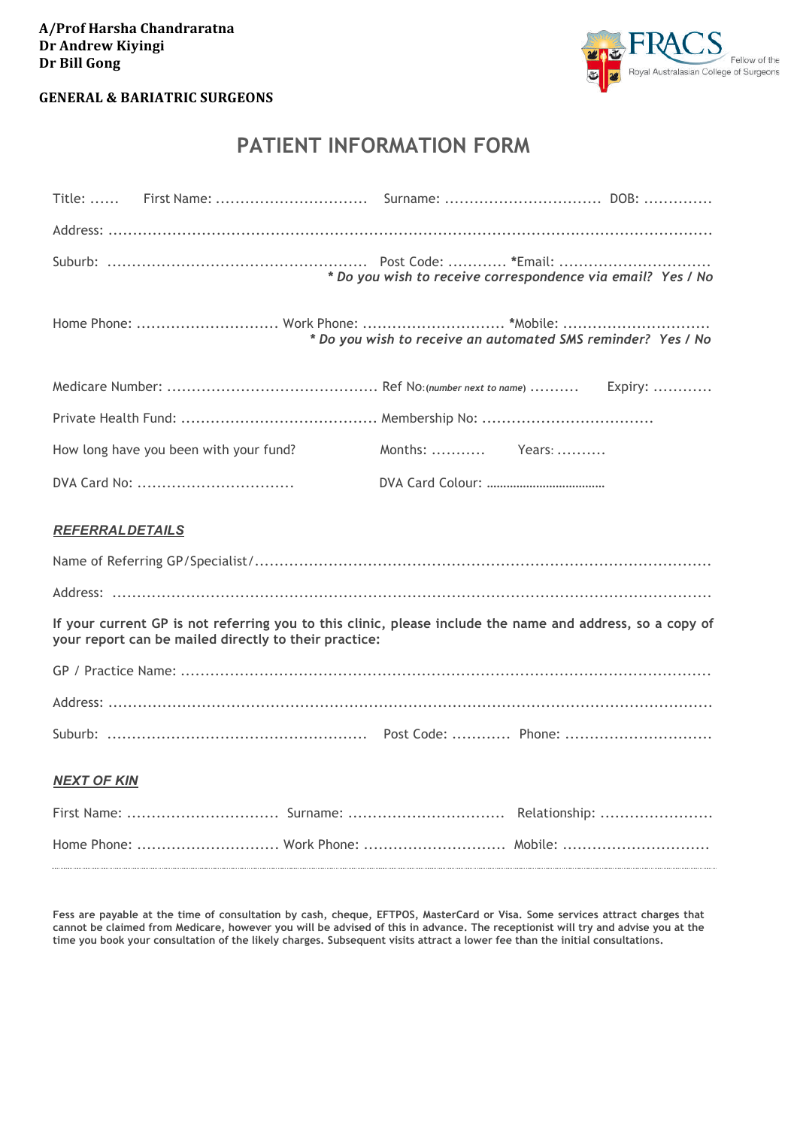## **A/Prof Harsha Chandraratna Dr Andrew Kiyingi Dr Bill Gong**



### **GENERAL & BARIATRIC SURGEONS**

# **PATIENT INFORMATION FORM**

|                                                                                                                                                                    | * Do you wish to receive correspondence via email? Yes / No  |  |  |  |
|--------------------------------------------------------------------------------------------------------------------------------------------------------------------|--------------------------------------------------------------|--|--|--|
|                                                                                                                                                                    | * Do you wish to receive an automated SMS reminder? Yes / No |  |  |  |
|                                                                                                                                                                    |                                                              |  |  |  |
|                                                                                                                                                                    |                                                              |  |  |  |
| How long have you been with your fund?                                                                                                                             | Months:  Years:                                              |  |  |  |
| DVA Card No:                                                                                                                                                       |                                                              |  |  |  |
| <b>REFERRALDETAILS</b>                                                                                                                                             |                                                              |  |  |  |
|                                                                                                                                                                    |                                                              |  |  |  |
|                                                                                                                                                                    |                                                              |  |  |  |
| If your current GP is not referring you to this clinic, please include the name and address, so a copy of<br>your report can be mailed directly to their practice: |                                                              |  |  |  |
|                                                                                                                                                                    |                                                              |  |  |  |
|                                                                                                                                                                    |                                                              |  |  |  |
|                                                                                                                                                                    |                                                              |  |  |  |
| <b>NEXT OF KIN</b>                                                                                                                                                 |                                                              |  |  |  |
|                                                                                                                                                                    |                                                              |  |  |  |

**Fess are payable at the time of consultation by cash, cheque, EFTPOS, MasterCard or Visa. Some services attract charges that cannot be claimed from Medicare, however you will be advised of this in advance. The receptionist will try and advise you at the time you book your consultation of the likely charges. Subsequent visits attract a lower fee than the initial consultations.**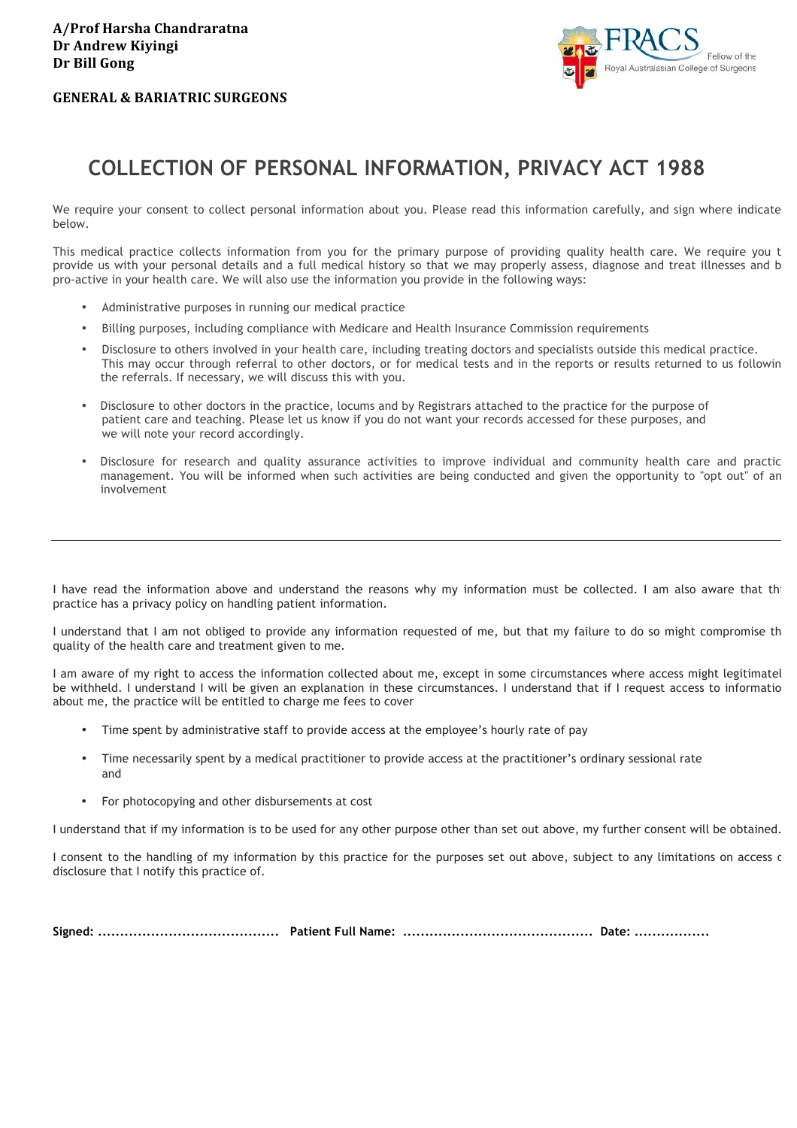### **GENERAL & BARIATRIC SURGEONS**



# **COLLECTION OF PERSONAL INFORMATION, PRIVACY ACT 1988**

We require your consent to collect personal information about you. Please read this information carefully, and sign where indicate below.

This medical practice collects information from you for the primary purpose of providing quality health care. We require you t provide us with your personal details and a full medical history so that we may properly assess, diagnose and treat illnesses and be pro-active in your health care. We will also use the information you provide in the following ways:

- Administrative purposes in running our medical practice
- Billing purposes, including compliance with Medicare and Health Insurance Commission requirements
- Disclosure to others involved in your health care, including treating doctors and specialists outside this medical practice. This may occur through referral to other doctors, or for medical tests and in the reports or results returned to us following the referrals. If necessary, we will discuss this with you.
- Disclosure to other doctors in the practice, locums and by Registrars attached to the practice for the purpose of patient care and teaching. Please let us know if you do not want your records accessed for these purposes, and we will note your record accordingly.
- Disclosure for research and quality assurance activities to improve individual and community health care and practic management. You will be informed when such activities are being conducted and given the opportunity to "opt out" of an involvement

I have read the information above and understand the reasons why my information must be collected. I am also aware that this practice has a privacy policy on handling patient information.

I understand that I am not obliged to provide any information requested of me, but that my failure to do so might compromise th quality of the health care and treatment given to me.

I am aware of my right to access the information collected about me, except in some circumstances where access might legitimatel be withheld. I understand I will be given an explanation in these circumstances. I understand that if I request access to informatio about me, the practice will be entitled to charge me fees to cover

- Time spent by administrative staff to provide access at the employee's hourly rate of pay
- Time necessarily spent by a medical practitioner to provide access at the practitioner's ordinary sessional rate and
- For photocopying and other disbursements at cost

I understand that if my information is to be used for any other purpose other than set out above, my further consent will be obtained.

I consent to the handling of my information by this practice for the purposes set out above, subject to any limitations on access or disclosure that I notify this practice of.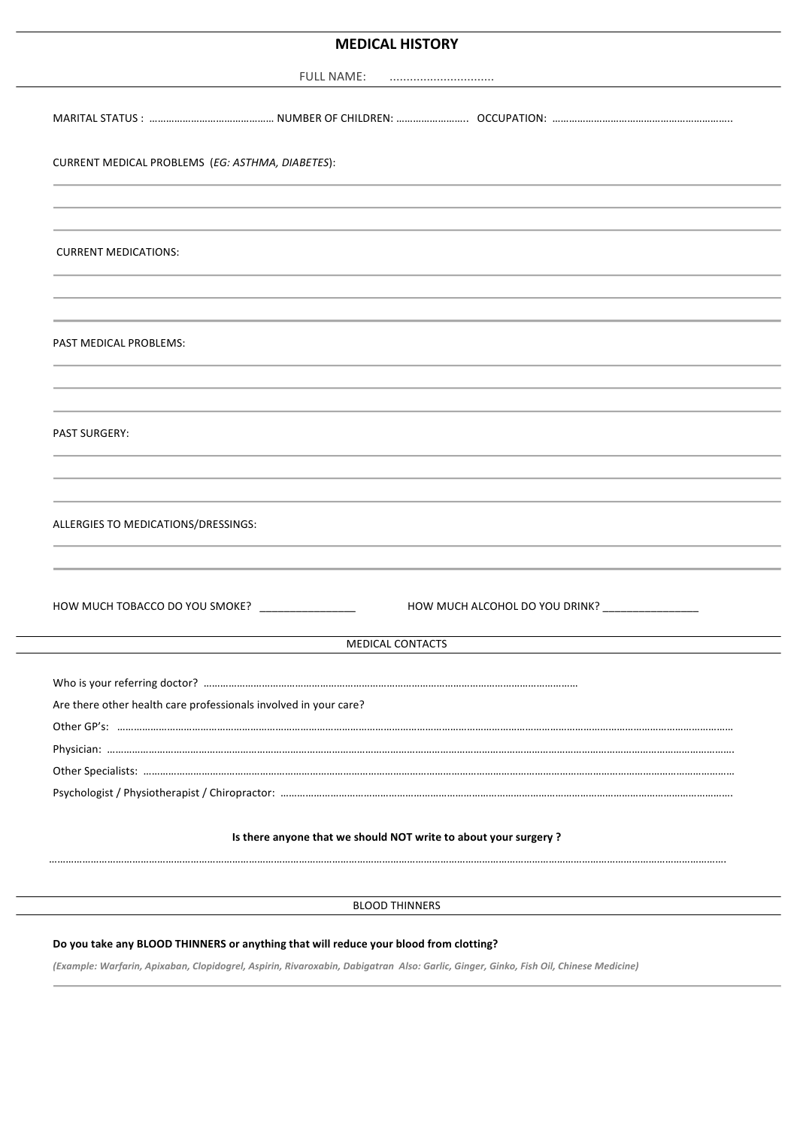## **MEDICAL HISTORY**

|                                                                  | <b>FULL NAME:</b> |                                                                                  |
|------------------------------------------------------------------|-------------------|----------------------------------------------------------------------------------|
|                                                                  |                   |                                                                                  |
|                                                                  |                   |                                                                                  |
| CURRENT MEDICAL PROBLEMS (EG: ASTHMA, DIABETES):                 |                   |                                                                                  |
|                                                                  |                   | ,我们也不会有什么?""我们的人,我们也不会有什么?""我们的人,我们也不会有什么?""我们的人,我们也不会有什么?""我们的人,我们也不会有什么?""我们的人 |
| <b>CURRENT MEDICATIONS:</b>                                      |                   |                                                                                  |
|                                                                  |                   |                                                                                  |
| PAST MEDICAL PROBLEMS:                                           |                   |                                                                                  |
|                                                                  |                   |                                                                                  |
| <b>PAST SURGERY:</b>                                             |                   |                                                                                  |
|                                                                  |                   |                                                                                  |
| ALLERGIES TO MEDICATIONS/DRESSINGS:                              |                   |                                                                                  |
| HOW MUCH TOBACCO DO YOU SMOKE? _______________                   |                   | HOW MUCH ALCOHOL DO YOU DRINK? ________________                                  |
|                                                                  | MEDICAL CONTACTS  |                                                                                  |
|                                                                  |                   |                                                                                  |
|                                                                  |                   |                                                                                  |
| Are there other health care professionals involved in your care? |                   |                                                                                  |
|                                                                  |                   |                                                                                  |
|                                                                  |                   |                                                                                  |
|                                                                  |                   |                                                                                  |
|                                                                  |                   |                                                                                  |
| Is there anyone that we should NOT write to about your surgery ? |                   |                                                                                  |
|                                                                  |                   |                                                                                  |
| <b>BLOOD THINNERS</b>                                            |                   |                                                                                  |

#### Do you take any BLOOD THINNERS or anything that will reduce your blood from clotting?

*(Example: Warfarin, Apixaban, Clopidogrel, Aspirin, Rivaroxabin, Dabigatran Also: Garlic, Ginger, Ginko, Fish Oil, Chinese Medicine)*